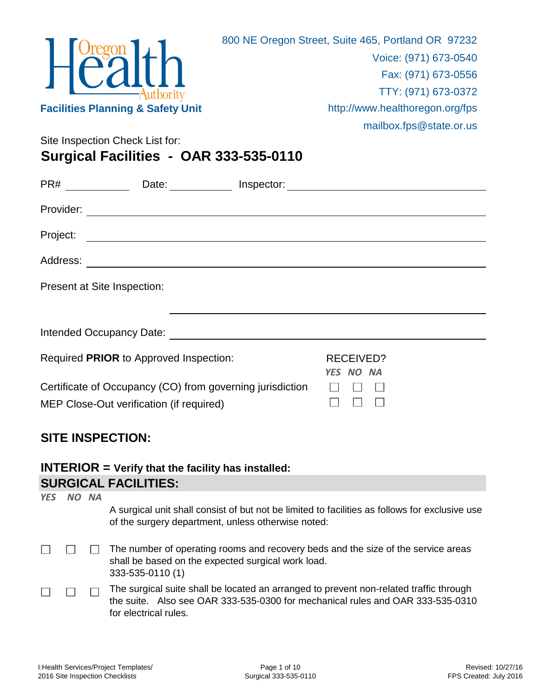

Site Inspection Check List for: **Surgical Facilities - OAR 333-535-0110**

| PR#                         | Date: Inspector: Inspector: 1999                                                                                     |                               |  |
|-----------------------------|----------------------------------------------------------------------------------------------------------------------|-------------------------------|--|
| Provider:                   |                                                                                                                      |                               |  |
| Project:                    | <u> 1980 - Jan Samuel Barbara, martin da shekara tsara 1980 - An tsara 1980 - An tsara 1980 - An tsara 1980 - An</u> |                               |  |
|                             |                                                                                                                      |                               |  |
| Present at Site Inspection: |                                                                                                                      |                               |  |
|                             |                                                                                                                      |                               |  |
|                             | Intended Occupancy Date:                                                                                             |                               |  |
|                             | Required PRIOR to Approved Inspection:                                                                               | <b>RECEIVED?</b><br>YES NO NA |  |
|                             | Certificate of Occupancy (CO) from governing jurisdiction<br>MEP Close-Out verification (if required)                |                               |  |

## **SITE INSPECTION:**

**SURGICAL FACILITIES: INTERIOR = Verify that the facility has installed:**

|            | 0011010AL I AVILITILO. |       |                                                                                                                                                                                                   |  |  |
|------------|------------------------|-------|---------------------------------------------------------------------------------------------------------------------------------------------------------------------------------------------------|--|--|
| <b>YFS</b> |                        | NO NA | A surgical unit shall consist of but not be limited to facilities as follows for exclusive use<br>of the surgery department, unless otherwise noted:                                              |  |  |
|            |                        |       | The number of operating rooms and recovery beds and the size of the service areas<br>shall be based on the expected surgical work load.<br>333-535-0110 (1)                                       |  |  |
|            |                        |       | The surgical suite shall be located an arranged to prevent non-related traffic through<br>the suite. Also see OAR 333-535-0300 for mechanical rules and OAR 333-535-0310<br>for electrical rules. |  |  |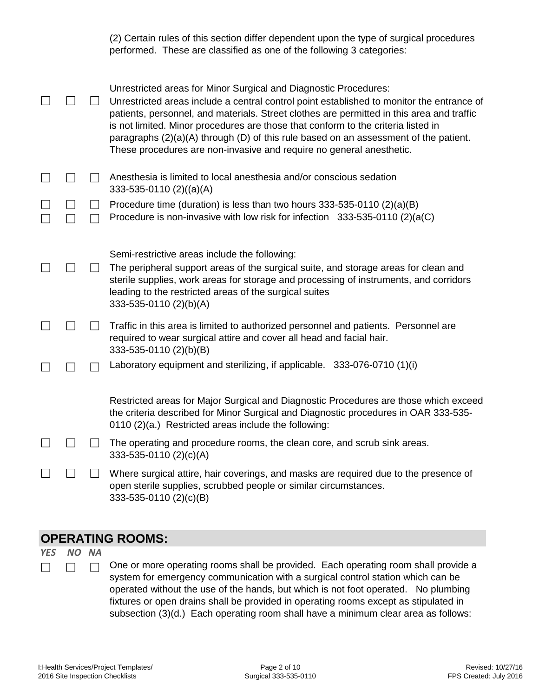(2) Certain rules of this section differ dependent upon the type of surgical procedures performed. These are classified as one of the following 3 categories:

|  | Unrestricted areas for Minor Surgical and Diagnostic Procedures:<br>Unrestricted areas include a central control point established to monitor the entrance of<br>patients, personnel, and materials. Street clothes are permitted in this area and traffic<br>is not limited. Minor procedures are those that conform to the criteria listed in<br>paragraphs $(2)(a)(A)$ through $(D)$ of this rule based on an assessment of the patient.<br>These procedures are non-invasive and require no general anesthetic. |
|--|---------------------------------------------------------------------------------------------------------------------------------------------------------------------------------------------------------------------------------------------------------------------------------------------------------------------------------------------------------------------------------------------------------------------------------------------------------------------------------------------------------------------|
|  | Anesthesia is limited to local anesthesia and/or conscious sedation<br>333-535-0110 (2)((a)(A)                                                                                                                                                                                                                                                                                                                                                                                                                      |
|  | Procedure time (duration) is less than two hours 333-535-0110 (2)(a)(B)<br>Procedure is non-invasive with low risk for infection 333-535-0110 (2)(a(C)                                                                                                                                                                                                                                                                                                                                                              |
|  | Semi-restrictive areas include the following:<br>The peripheral support areas of the surgical suite, and storage areas for clean and<br>sterile supplies, work areas for storage and processing of instruments, and corridors<br>leading to the restricted areas of the surgical suites<br>333-535-0110 (2)(b)(A)                                                                                                                                                                                                   |
|  | Traffic in this area is limited to authorized personnel and patients. Personnel are<br>required to wear surgical attire and cover all head and facial hair.<br>333-535-0110 (2)(b)(B)                                                                                                                                                                                                                                                                                                                               |
|  | Laboratory equipment and sterilizing, if applicable. 333-076-0710 (1)(i)                                                                                                                                                                                                                                                                                                                                                                                                                                            |
|  | Restricted areas for Major Surgical and Diagnostic Procedures are those which exceed<br>the criteria described for Minor Surgical and Diagnostic procedures in OAR 333-535-<br>0110 (2)(a.) Restricted areas include the following:                                                                                                                                                                                                                                                                                 |
|  | The operating and procedure rooms, the clean core, and scrub sink areas.<br>333-535-0110 (2)(c)(A)                                                                                                                                                                                                                                                                                                                                                                                                                  |
|  | Where surgical attire, hair coverings, and masks are required due to the presence of<br>open sterile supplies, scrubbed people or similar circumstances.<br>333-535-0110 (2)(c)(B)                                                                                                                                                                                                                                                                                                                                  |

## **OPERATING ROOMS:**

## *YES NO NA*  $\Box$

 $\Box$ 

One or more operating rooms shall be provided. Each operating room shall provide a  $\Box$ system for emergency communication with a surgical control station which can be operated without the use of the hands, but which is not foot operated. No plumbing fixtures or open drains shall be provided in operating rooms except as stipulated in subsection (3)(d.) Each operating room shall have a minimum clear area as follows: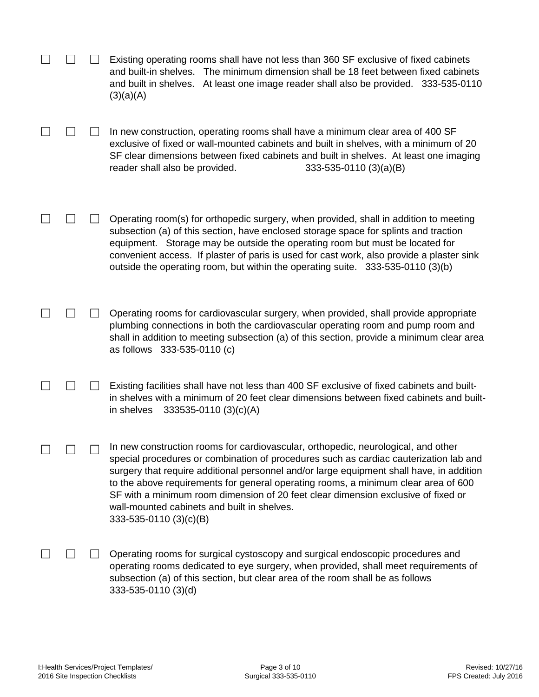|  |                | Existing operating rooms shall have not less than 360 SF exclusive of fixed cabinets<br>and built-in shelves. The minimum dimension shall be 18 feet between fixed cabinets<br>and built in shelves. At least one image reader shall also be provided. 333-535-0110<br>(3)(a)(A)                                                                                                                                                                                                                                           |
|--|----------------|----------------------------------------------------------------------------------------------------------------------------------------------------------------------------------------------------------------------------------------------------------------------------------------------------------------------------------------------------------------------------------------------------------------------------------------------------------------------------------------------------------------------------|
|  |                | In new construction, operating rooms shall have a minimum clear area of 400 SF<br>exclusive of fixed or wall-mounted cabinets and built in shelves, with a minimum of 20<br>SF clear dimensions between fixed cabinets and built in shelves. At least one imaging<br>$333-535-0110(3)(a)(B)$<br>reader shall also be provided.                                                                                                                                                                                             |
|  |                | Operating room(s) for orthopedic surgery, when provided, shall in addition to meeting<br>subsection (a) of this section, have enclosed storage space for splints and traction<br>equipment. Storage may be outside the operating room but must be located for<br>convenient access. If plaster of paris is used for cast work, also provide a plaster sink<br>outside the operating room, but within the operating suite. 333-535-0110 (3)(b)                                                                              |
|  |                | Operating rooms for cardiovascular surgery, when provided, shall provide appropriate<br>plumbing connections in both the cardiovascular operating room and pump room and<br>shall in addition to meeting subsection (a) of this section, provide a minimum clear area<br>as follows 333-535-0110 (c)                                                                                                                                                                                                                       |
|  |                | Existing facilities shall have not less than 400 SF exclusive of fixed cabinets and built-<br>in shelves with a minimum of 20 feet clear dimensions between fixed cabinets and built-<br>333535-0110 (3)(c)(A)<br>in shelves                                                                                                                                                                                                                                                                                               |
|  | $\blacksquare$ | In new construction rooms for cardiovascular, orthopedic, neurological, and other<br>special procedures or combination of procedures such as cardiac cauterization lab and<br>surgery that require additional personnel and/or large equipment shall have, in addition<br>to the above requirements for general operating rooms, a minimum clear area of 600<br>SF with a minimum room dimension of 20 feet clear dimension exclusive of fixed or<br>wall-mounted cabinets and built in shelves.<br>333-535-0110 (3)(c)(B) |
|  |                | Operating rooms for surgical cystoscopy and surgical endoscopic procedures and<br>operating rooms dedicated to eye surgery, when provided, shall meet requirements of<br>subsection (a) of this section, but clear area of the room shall be as follows<br>333-535-0110 (3)(d)                                                                                                                                                                                                                                             |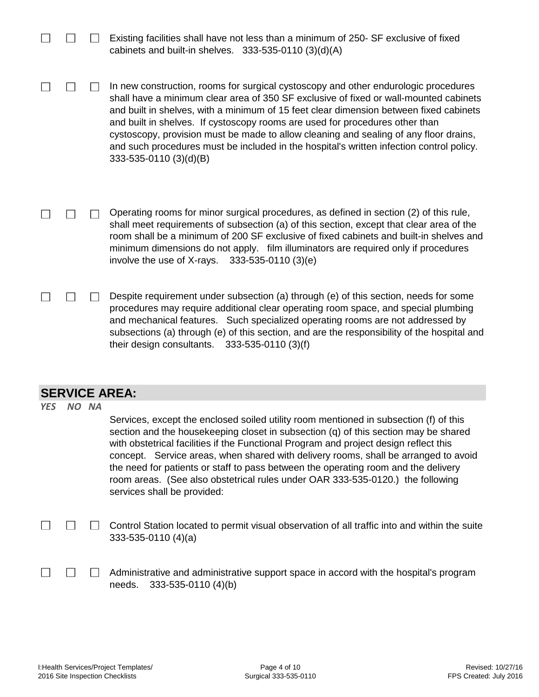|            |       | Existing facilities shall have not less than a minimum of 250- SF exclusive of fixed<br>cabinets and built-in shelves. $333-535-0110(3)(d)(A)$                                                                                                                                                                                                                                                                                                                                                                                                                        |
|------------|-------|-----------------------------------------------------------------------------------------------------------------------------------------------------------------------------------------------------------------------------------------------------------------------------------------------------------------------------------------------------------------------------------------------------------------------------------------------------------------------------------------------------------------------------------------------------------------------|
|            |       | In new construction, rooms for surgical cystoscopy and other endurologic procedures<br>shall have a minimum clear area of 350 SF exclusive of fixed or wall-mounted cabinets<br>and built in shelves, with a minimum of 15 feet clear dimension between fixed cabinets<br>and built in shelves. If cystoscopy rooms are used for procedures other than<br>cystoscopy, provision must be made to allow cleaning and sealing of any floor drains,<br>and such procedures must be included in the hospital's written infection control policy.<br>333-535-0110 (3)(d)(B) |
|            |       | Operating rooms for minor surgical procedures, as defined in section (2) of this rule,<br>shall meet requirements of subsection (a) of this section, except that clear area of the<br>room shall be a minimum of 200 SF exclusive of fixed cabinets and built-in shelves and<br>minimum dimensions do not apply. film illuminators are required only if procedures<br>involve the use of X-rays.<br>333-535-0110 (3)(e)                                                                                                                                               |
|            |       | Despite requirement under subsection (a) through (e) of this section, needs for some<br>procedures may require additional clear operating room space, and special plumbing<br>and mechanical features. Such specialized operating rooms are not addressed by<br>subsections (a) through (e) of this section, and are the responsibility of the hospital and<br>333-535-0110 (3)(f)<br>their design consultants.                                                                                                                                                       |
|            |       | <b>SERVICE AREA:</b>                                                                                                                                                                                                                                                                                                                                                                                                                                                                                                                                                  |
| <b>YES</b> | NO NA |                                                                                                                                                                                                                                                                                                                                                                                                                                                                                                                                                                       |
|            |       | Services, except the enclosed soiled utility room mentioned in subsection (f) of this<br>section and the housekeeping closet in subsection (q) of this section may be shared<br>with obstetrical facilities if the Functional Program and project design reflect this<br>concept. Service areas, when shared with delivery rooms, shall be arranged to avoid<br>the need for patients or staff to pass between the operating room and the delivery<br>room areas. (See also obstetrical rules under OAR 333-535-0120.) the following<br>services shall be provided:   |
|            |       | Control Station located to permit visual observation of all traffic into and within the suite<br>$333-535-0110(4)(a)$                                                                                                                                                                                                                                                                                                                                                                                                                                                 |

 $\Box$ Administrative and administrative support space in accord with the hospital's program needs. 333-535-0110 (4)(b)

 $\Box$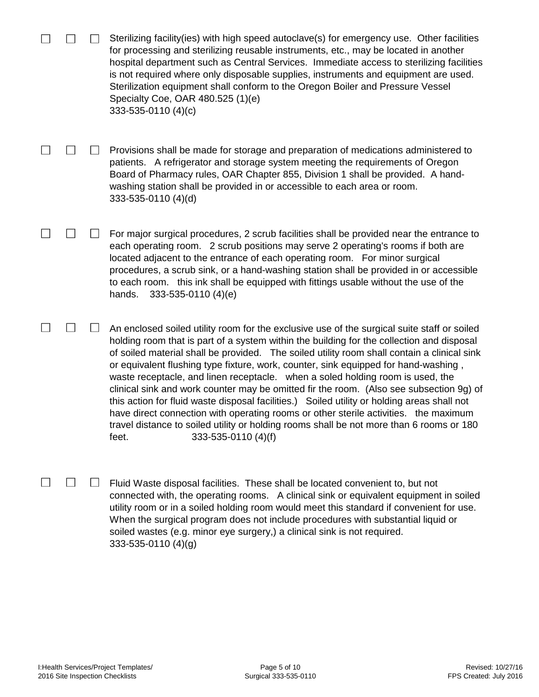|  | Sterilizing facility (ies) with high speed autoclave(s) for emergency use. Other facilities<br>for processing and sterilizing reusable instruments, etc., may be located in another<br>hospital department such as Central Services. Immediate access to sterilizing facilities<br>is not required where only disposable supplies, instruments and equipment are used.<br>Sterilization equipment shall conform to the Oregon Boiler and Pressure Vessel<br>Specialty Coe, OAR 480.525 (1)(e)<br>333-535-0110 (4)(c)                                                                                                                                                                                                                                                                                                                                                           |
|--|--------------------------------------------------------------------------------------------------------------------------------------------------------------------------------------------------------------------------------------------------------------------------------------------------------------------------------------------------------------------------------------------------------------------------------------------------------------------------------------------------------------------------------------------------------------------------------------------------------------------------------------------------------------------------------------------------------------------------------------------------------------------------------------------------------------------------------------------------------------------------------|
|  | Provisions shall be made for storage and preparation of medications administered to<br>patients. A refrigerator and storage system meeting the requirements of Oregon<br>Board of Pharmacy rules, OAR Chapter 855, Division 1 shall be provided. A hand-<br>washing station shall be provided in or accessible to each area or room.<br>333-535-0110 (4)(d)                                                                                                                                                                                                                                                                                                                                                                                                                                                                                                                    |
|  | For major surgical procedures, 2 scrub facilities shall be provided near the entrance to<br>each operating room. 2 scrub positions may serve 2 operating's rooms if both are<br>located adjacent to the entrance of each operating room. For minor surgical<br>procedures, a scrub sink, or a hand-washing station shall be provided in or accessible<br>to each room. this ink shall be equipped with fittings usable without the use of the<br>333-535-0110 (4)(e)<br>hands.                                                                                                                                                                                                                                                                                                                                                                                                 |
|  | An enclosed soiled utility room for the exclusive use of the surgical suite staff or soiled<br>holding room that is part of a system within the building for the collection and disposal<br>of soiled material shall be provided. The soiled utility room shall contain a clinical sink<br>or equivalent flushing type fixture, work, counter, sink equipped for hand-washing,<br>waste receptacle, and linen receptacle. when a soled holding room is used, the<br>clinical sink and work counter may be omitted fir the room. (Also see subsection 9g) of<br>this action for fluid waste disposal facilities.) Soiled utility or holding areas shall not<br>have direct connection with operating rooms or other sterile activities. the maximum<br>travel distance to soiled utility or holding rooms shall be not more than 6 rooms or 180<br>333-535-0110 (4)(f)<br>feet. |
|  | Fluid Waste disposal facilities. These shall be located convenient to, but not<br>connected with, the operating rooms. A clinical sink or equivalent equipment in soiled<br>utility room or in a soiled holding room would meet this standard if convenient for use.<br>When the surgical program does not include procedures with substantial liquid or<br>soiled wastes (e.g. minor eye surgery,) a clinical sink is not required.                                                                                                                                                                                                                                                                                                                                                                                                                                           |

333-535-0110 (4)(g)

 $\sim$ 

 $\overline{\phantom{a}}$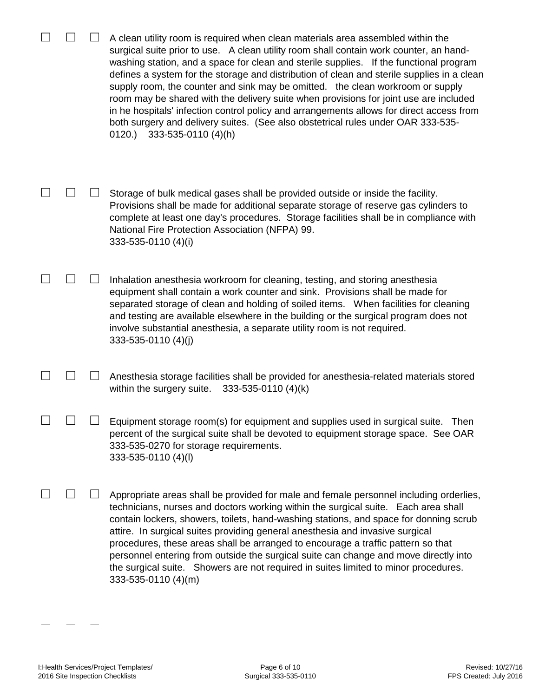|        | A clean utility room is required when clean materials area assembled within the<br>surgical suite prior to use. A clean utility room shall contain work counter, an hand-<br>washing station, and a space for clean and sterile supplies. If the functional program<br>defines a system for the storage and distribution of clean and sterile supplies in a clean<br>supply room, the counter and sink may be omitted. the clean workroom or supply<br>room may be shared with the delivery suite when provisions for joint use are included<br>in he hospitals' infection control policy and arrangements allows for direct access from<br>both surgery and delivery suites. (See also obstetrical rules under OAR 333-535-<br>0120.)<br>333-535-0110 (4)(h) |
|--------|---------------------------------------------------------------------------------------------------------------------------------------------------------------------------------------------------------------------------------------------------------------------------------------------------------------------------------------------------------------------------------------------------------------------------------------------------------------------------------------------------------------------------------------------------------------------------------------------------------------------------------------------------------------------------------------------------------------------------------------------------------------|
|        | Storage of bulk medical gases shall be provided outside or inside the facility.<br>Provisions shall be made for additional separate storage of reserve gas cylinders to<br>complete at least one day's procedures. Storage facilities shall be in compliance with<br>National Fire Protection Association (NFPA) 99.<br>333-535-0110 (4)(i)                                                                                                                                                                                                                                                                                                                                                                                                                   |
|        | Inhalation anesthesia workroom for cleaning, testing, and storing anesthesia<br>equipment shall contain a work counter and sink. Provisions shall be made for<br>separated storage of clean and holding of soiled items. When facilities for cleaning<br>and testing are available elsewhere in the building or the surgical program does not<br>involve substantial anesthesia, a separate utility room is not required.<br>333-535-0110 (4)(j)                                                                                                                                                                                                                                                                                                              |
| $\Box$ | Anesthesia storage facilities shall be provided for anesthesia-related materials stored<br>within the surgery suite.<br>333-535-0110 (4)(k)                                                                                                                                                                                                                                                                                                                                                                                                                                                                                                                                                                                                                   |
|        | Equipment storage room(s) for equipment and supplies used in surgical suite.<br>Then<br>percent of the surgical suite shall be devoted to equipment storage space. See OAR<br>333-535-0270 for storage requirements.<br>333-535-0110 (4)(l)                                                                                                                                                                                                                                                                                                                                                                                                                                                                                                                   |
|        | Appropriate areas shall be provided for male and female personnel including orderlies,<br>technicians, nurses and doctors working within the surgical suite. Each area shall<br>contain lockers, showers, toilets, hand-washing stations, and space for donning scrub<br>attire. In surgical suites providing general anesthesia and invasive surgical<br>procedures, these areas shall be arranged to encourage a traffic pattern so that<br>personnel entering from outside the surgical suite can change and move directly into<br>the surgical suite. Showers are not required in suites limited to minor procedures.<br>333-535-0110 (4)(m)                                                                                                              |

 $\begin{array}{cccc} \hline \end{array}$ 

 $\overline{\phantom{0}}$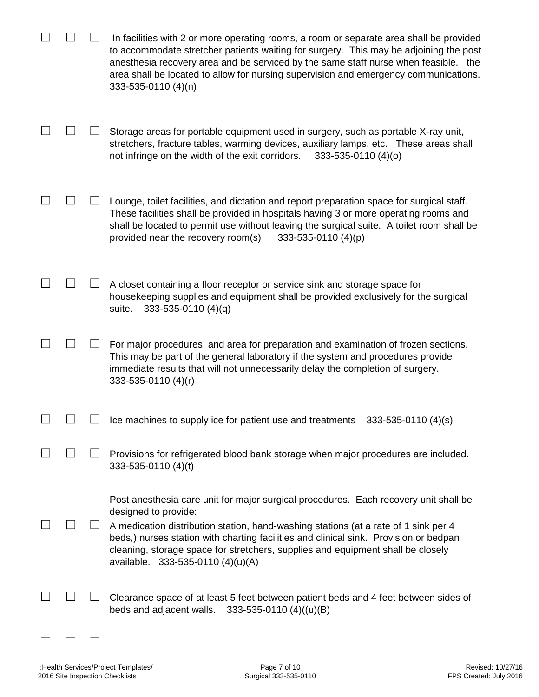|  | In facilities with 2 or more operating rooms, a room or separate area shall be provided<br>to accommodate stretcher patients waiting for surgery. This may be adjoining the post<br>anesthesia recovery area and be serviced by the same staff nurse when feasible. the<br>area shall be located to allow for nursing supervision and emergency communications.<br>333-535-0110 (4)(n)                               |
|--|----------------------------------------------------------------------------------------------------------------------------------------------------------------------------------------------------------------------------------------------------------------------------------------------------------------------------------------------------------------------------------------------------------------------|
|  | Storage areas for portable equipment used in surgery, such as portable X-ray unit,<br>stretchers, fracture tables, warming devices, auxiliary lamps, etc. These areas shall<br>not infringe on the width of the exit corridors.<br>333-535-0110 (4)(o)                                                                                                                                                               |
|  | Lounge, toilet facilities, and dictation and report preparation space for surgical staff.<br>These facilities shall be provided in hospitals having 3 or more operating rooms and<br>shall be located to permit use without leaving the surgical suite. A toilet room shall be<br>provided near the recovery room(s)<br>333-535-0110 (4)(p)                                                                          |
|  | A closet containing a floor receptor or service sink and storage space for<br>housekeeping supplies and equipment shall be provided exclusively for the surgical<br>$333 - 535 - 0110(4)(q)$<br>suite.                                                                                                                                                                                                               |
|  | For major procedures, and area for preparation and examination of frozen sections.<br>This may be part of the general laboratory if the system and procedures provide<br>immediate results that will not unnecessarily delay the completion of surgery.<br>333-535-0110 (4)(r)                                                                                                                                       |
|  | Ice machines to supply ice for patient use and treatments<br>333-535-0110 (4)(s)                                                                                                                                                                                                                                                                                                                                     |
|  | Provisions for refrigerated blood bank storage when major procedures are included.<br>333-535-0110 (4)(t)                                                                                                                                                                                                                                                                                                            |
|  | Post anesthesia care unit for major surgical procedures. Each recovery unit shall be<br>designed to provide:<br>A medication distribution station, hand-washing stations (at a rate of 1 sink per 4<br>beds,) nurses station with charting facilities and clinical sink. Provision or bedpan<br>cleaning, storage space for stretchers, supplies and equipment shall be closely<br>available. 333-535-0110 (4)(u)(A) |
|  | Clearance space of at least 5 feet between patient beds and 4 feet between sides of<br>beds and adjacent walls.<br>333-535-0110 $(4)((u)(B))$                                                                                                                                                                                                                                                                        |

 $\sim$ 

 $\overline{\phantom{m}}$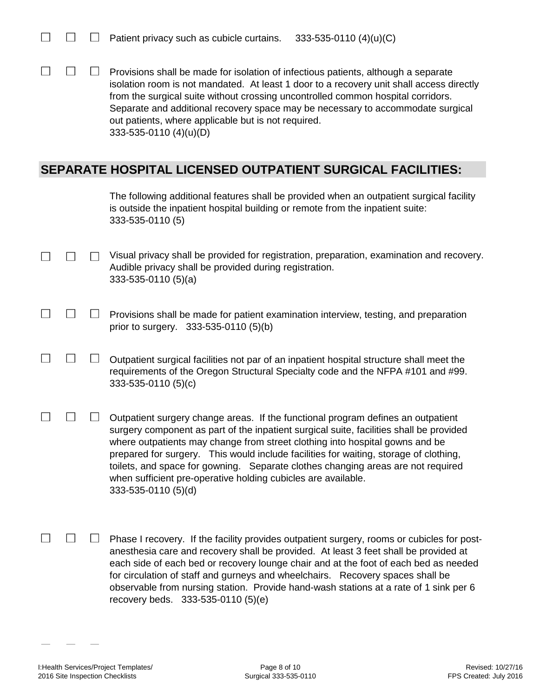$\Box$ Provisions shall be made for isolation of infectious patients, although a separate isolation room is not mandated. At least 1 door to a recovery unit shall access directly from the surgical suite without crossing uncontrolled common hospital corridors. Separate and additional recovery space may be necessary to accommodate surgical out patients, where applicable but is not required. 333-535-0110 (4)(u)(D)

## **SEPARATE HOSPITAL LICENSED OUTPATIENT SURGICAL FACILITIES:**

| The following additional features shall be provided when an outpatient surgical facility |
|------------------------------------------------------------------------------------------|
| is outside the inpatient hospital building or remote from the inpatient suite:           |
| 333-535-0110 (5)                                                                         |

- Visual privacy shall be provided for registration, preparation, examination and recovery.  $\Box$  $\Box$  $\Box$ Audible privacy shall be provided during registration. 333-535-0110 (5)(a)
	- $\Box$  $\Box$ Provisions shall be made for patient examination interview, testing, and preparation prior to surgery. 333-535-0110 (5)(b)
	- $\Box$  $\Box$ Outpatient surgical facilities not par of an inpatient hospital structure shall meet the requirements of the Oregon Structural Specialty code and the NFPA #101 and #99. 333-535-0110 (5)(c)
- $\Box$  $\Box$  $\Box$ Outpatient surgery change areas. If the functional program defines an outpatient surgery component as part of the inpatient surgical suite, facilities shall be provided where outpatients may change from street clothing into hospital gowns and be prepared for surgery. This would include facilities for waiting, storage of clothing, toilets, and space for gowning. Separate clothes changing areas are not required when sufficient pre-operative holding cubicles are available. 333-535-0110 (5)(d)
- $\Box$  $\Box$  $\mathbb{R}^n$ Phase I recovery. If the facility provides outpatient surgery, rooms or cubicles for postanesthesia care and recovery shall be provided. At least 3 feet shall be provided at each side of each bed or recovery lounge chair and at the foot of each bed as needed for circulation of staff and gurneys and wheelchairs. Recovery spaces shall be observable from nursing station. Provide hand-wash stations at a rate of 1 sink per 6 recovery beds. 333-535-0110 (5)(e)

 $\Box$ 

П

 $\Box$ 

П

 $\Box$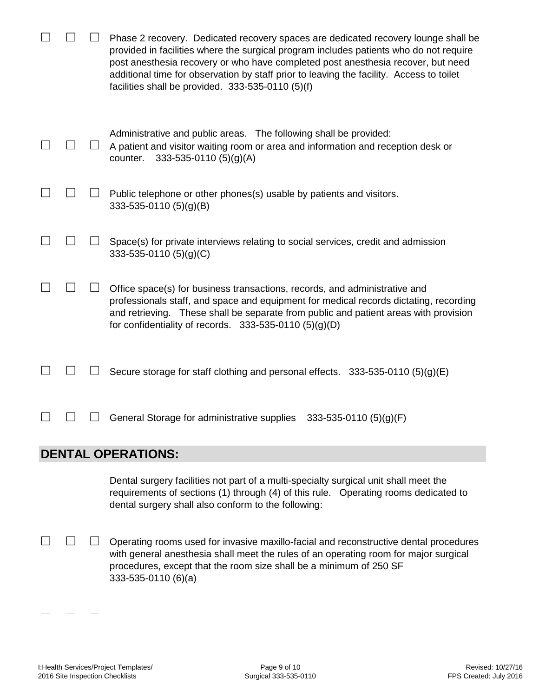|  | Phase 2 recovery. Dedicated recovery spaces are dedicated recovery lounge shall be<br>provided in facilities where the surgical program includes patients who do not require<br>post anesthesia recovery or who have completed post anesthesia recover, but need<br>additional time for observation by staff prior to leaving the facility. Access to toilet<br>facilities shall be provided. $333-535-0110(5)(f)$ |
|--|--------------------------------------------------------------------------------------------------------------------------------------------------------------------------------------------------------------------------------------------------------------------------------------------------------------------------------------------------------------------------------------------------------------------|
|  | Administrative and public areas. The following shall be provided:<br>A patient and visitor waiting room or area and information and reception desk or<br>333-535-0110 (5)(g)(A)<br>counter.                                                                                                                                                                                                                        |
|  | Public telephone or other phones(s) usable by patients and visitors.<br>$333 - 535 - 0110(5)(g)(B)$                                                                                                                                                                                                                                                                                                                |
|  | Space(s) for private interviews relating to social services, credit and admission<br>333-535-0110 $(5)(g)(C)$                                                                                                                                                                                                                                                                                                      |
|  | Office space(s) for business transactions, records, and administrative and<br>professionals staff, and space and equipment for medical records dictating, recording<br>and retrieving. These shall be separate from public and patient areas with provision<br>for confidentiality of records. $333-535-0110(5)(g)(D)$                                                                                             |
|  | Secure storage for staff clothing and personal effects. $333-535-0110(5)(g)(E)$                                                                                                                                                                                                                                                                                                                                    |
|  | General Storage for administrative supplies<br>333-535-0110 (5)(g)(F)                                                                                                                                                                                                                                                                                                                                              |
|  | <b>DENTAL OPERATIONS:</b>                                                                                                                                                                                                                                                                                                                                                                                          |
|  | Dental surgery facilities not part of a multi-specialty surgical unit shall meet the<br>requirements of sections (1) through (4) of this rule.  Operating rooms dedicated to<br>dental surgery shall also conform to the following:                                                                                                                                                                                |
|  | Operating rooms used for invasive maxillo-facial and reconstructive dental procedures                                                                                                                                                                                                                                                                                                                              |

Operating rooms used for invasive maxillo-facial and reconstructive dental procedures with general anesthesia shall meet the rules of an operating room for major surgical procedures, except that the room size shall be a minimum of 250 SF 333-535-0110 (6)(a)